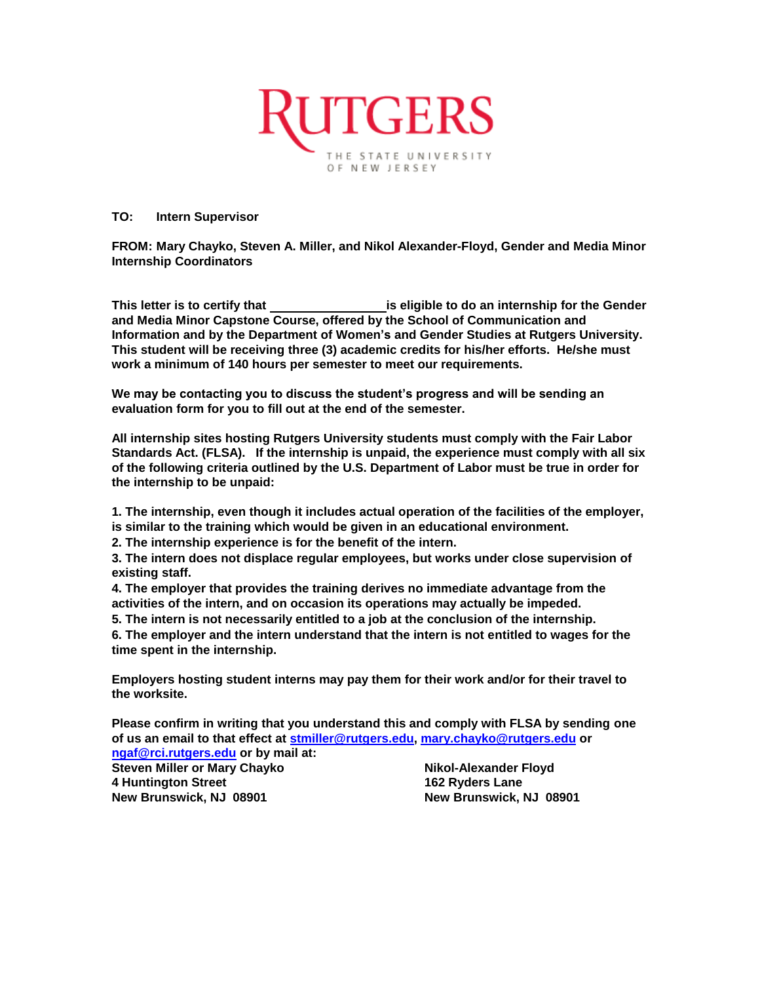

## **TO: Intern Supervisor**

**FROM: Mary Chayko, Steven A. Miller, and Nikol Alexander-Floyd, Gender and Media Minor Internship Coordinators**

**This letter is to certify that is eligible to do an internship for the Gender and Media Minor Capstone Course, offered by the School of Communication and Information and by the Department of Women's and Gender Studies at Rutgers University. This student will be receiving three (3) academic credits for his/her efforts. He/she must work a minimum of 140 hours per semester to meet our requirements.**

**We may be contacting you to discuss the student's progress and will be sending an evaluation form for you to fill out at the end of the semester.**

**All internship sites hosting Rutgers University students must comply with the Fair Labor Standards Act. (FLSA). If the internship is unpaid, the experience must comply with all six of the following criteria outlined by the U.S. Department of Labor must be true in order for the internship to be unpaid:** 

**1. The internship, even though it includes actual operation of the facilities of the employer, is similar to the training which would be given in an educational environment.** 

**2. The internship experience is for the benefit of the intern.** 

**3. The intern does not displace regular employees, but works under close supervision of existing staff.** 

**4. The employer that provides the training derives no immediate advantage from the activities of the intern, and on occasion its operations may actually be impeded.** 

**5. The intern is not necessarily entitled to a job at the conclusion of the internship.** 

**6. The employer and the intern understand that the intern is not entitled to wages for the time spent in the internship.** 

**Employers hosting student interns may pay them for their work and/or for their travel to the worksite.**

**Please confirm in writing that you understand this and comply with FLSA by sending one of us an email to that effect at [stmiller@rutgers.edu,](mailto:stmiller@rutgers.edu) [mary.chayko@rutgers.edu](mailto:mary.chayko@rutgers.edu) or** 

**[ngaf@rci.rutgers.edu](mailto:ngaf@rci.rutgers.edu) or by mail at: Steven Miller or Mary Chayko Nikol-Alexander Floyd 4 Huntington Street 162 Ryders Lane New Brunswick, NJ 08901 New Brunswick, NJ 08901**